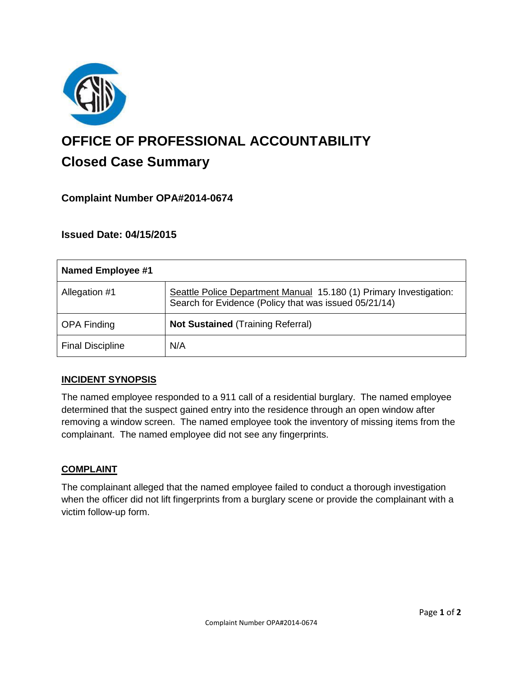

# **OFFICE OF PROFESSIONAL ACCOUNTABILITY Closed Case Summary**

# **Complaint Number OPA#2014-0674**

# **Issued Date: 04/15/2015**

| <b>Named Employee #1</b> |                                                                                                                             |
|--------------------------|-----------------------------------------------------------------------------------------------------------------------------|
| Allegation #1            | Seattle Police Department Manual 15.180 (1) Primary Investigation:<br>Search for Evidence (Policy that was issued 05/21/14) |
| <b>OPA Finding</b>       | <b>Not Sustained (Training Referral)</b>                                                                                    |
| <b>Final Discipline</b>  | N/A                                                                                                                         |

## **INCIDENT SYNOPSIS**

The named employee responded to a 911 call of a residential burglary. The named employee determined that the suspect gained entry into the residence through an open window after removing a window screen. The named employee took the inventory of missing items from the complainant. The named employee did not see any fingerprints.

## **COMPLAINT**

The complainant alleged that the named employee failed to conduct a thorough investigation when the officer did not lift fingerprints from a burglary scene or provide the complainant with a victim follow-up form.